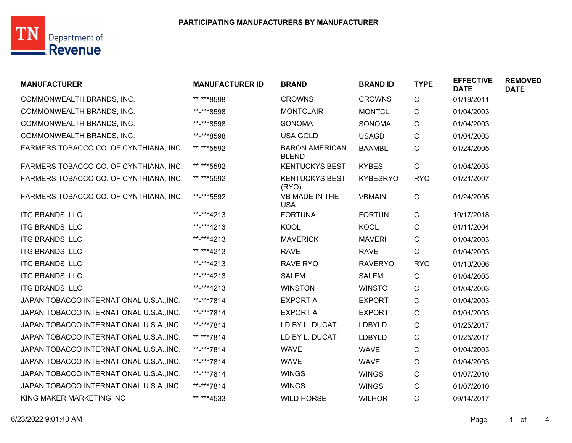## TN Department of

| <b>MANUFACTURER</b>                      | <b>MANUFACTURER ID</b> | <b>BRAND</b>                          | <b>BRAND ID</b> | <b>TYPE</b> | <b>EFFECTIVE</b><br><b>DATE</b> | <b>REMOVED</b><br><b>DATE</b> |
|------------------------------------------|------------------------|---------------------------------------|-----------------|-------------|---------------------------------|-------------------------------|
| COMMONWEALTH BRANDS, INC.                | **-***8598             | <b>CROWNS</b>                         | <b>CROWNS</b>   | C           | 01/19/2011                      |                               |
| COMMONWEALTH BRANDS, INC.                | **-***8598             | <b>MONTCLAIR</b>                      | <b>MONTCL</b>   | C           | 01/04/2003                      |                               |
| COMMONWEALTH BRANDS, INC.                | **-***8598             | <b>SONOMA</b>                         | <b>SONOMA</b>   | $\mathsf C$ | 01/04/2003                      |                               |
| COMMONWEALTH BRANDS, INC.                | **-***8598             | <b>USA GOLD</b>                       | <b>USAGD</b>    | $\mathsf C$ | 01/04/2003                      |                               |
| FARMERS TOBACCO CO. OF CYNTHIANA, INC.   | **-***5592             | <b>BARON AMERICAN</b><br><b>BLEND</b> | <b>BAAMBL</b>   | C           | 01/24/2005                      |                               |
| FARMERS TOBACCO CO. OF CYNTHIANA, INC.   | **-***5592             | <b>KENTUCKYS BEST</b>                 | <b>KYBES</b>    | $\mathsf C$ | 01/04/2003                      |                               |
| FARMERS TOBACCO CO. OF CYNTHIANA, INC.   | **-***5592             | <b>KENTUCKYS BEST</b><br>(RYO)        | <b>KYBESRYO</b> | <b>RYO</b>  | 01/21/2007                      |                               |
| FARMERS TOBACCO CO. OF CYNTHIANA, INC.   | **-***5592             | VB MADE IN THE<br><b>USA</b>          | <b>VBMAIN</b>   | C           | 01/24/2005                      |                               |
| <b>ITG BRANDS, LLC</b>                   | **-***4213             | <b>FORTUNA</b>                        | <b>FORTUN</b>   | $\mathsf C$ | 10/17/2018                      |                               |
| <b>ITG BRANDS, LLC</b>                   | **-***4213             | KOOL                                  | <b>KOOL</b>     | C           | 01/11/2004                      |                               |
| <b>ITG BRANDS, LLC</b>                   | **-***4213             | <b>MAVERICK</b>                       | <b>MAVERI</b>   | C           | 01/04/2003                      |                               |
| <b>ITG BRANDS, LLC</b>                   | **-***4213             | <b>RAVE</b>                           | <b>RAVE</b>     | $\mathsf C$ | 01/04/2003                      |                               |
| <b>ITG BRANDS, LLC</b>                   | **-***4213             | <b>RAVE RYO</b>                       | <b>RAVERYO</b>  | <b>RYO</b>  | 01/10/2006                      |                               |
| <b>ITG BRANDS, LLC</b>                   | **-***4213             | <b>SALEM</b>                          | <b>SALEM</b>    | C           | 01/04/2003                      |                               |
| <b>ITG BRANDS, LLC</b>                   | **-***4213             | <b>WINSTON</b>                        | <b>WINSTO</b>   | C           | 01/04/2003                      |                               |
| JAPAN TOBACCO INTERNATIONAL U.S.A., INC. | **-***7814             | <b>EXPORT A</b>                       | <b>EXPORT</b>   | C           | 01/04/2003                      |                               |
| JAPAN TOBACCO INTERNATIONAL U.S.A., INC. | **-***7814             | <b>EXPORT A</b>                       | <b>EXPORT</b>   | ${\bf C}$   | 01/04/2003                      |                               |
| JAPAN TOBACCO INTERNATIONAL U.S.A., INC. | **-***7814             | LD BY L. DUCAT                        | LDBYLD          | C           | 01/25/2017                      |                               |
| JAPAN TOBACCO INTERNATIONAL U.S.A., INC. | **-***7814             | LD BY L. DUCAT                        | <b>LDBYLD</b>   | C           | 01/25/2017                      |                               |
| JAPAN TOBACCO INTERNATIONAL U.S.A., INC. | **-***7814             | <b>WAVE</b>                           | <b>WAVE</b>     | C           | 01/04/2003                      |                               |
| JAPAN TOBACCO INTERNATIONAL U.S.A., INC. | **-***7814             | <b>WAVE</b>                           | <b>WAVE</b>     | $\mathsf C$ | 01/04/2003                      |                               |
| JAPAN TOBACCO INTERNATIONAL U.S.A., INC. | **-***7814             | <b>WINGS</b>                          | <b>WINGS</b>    | C           | 01/07/2010                      |                               |
| JAPAN TOBACCO INTERNATIONAL U.S.A., INC. | **-***7814             | <b>WINGS</b>                          | <b>WINGS</b>    | C           | 01/07/2010                      |                               |
| KING MAKER MARKETING INC                 | **-***4533             | <b>WILD HORSE</b>                     | <b>WILHOR</b>   | C           | 09/14/2017                      |                               |
|                                          |                        |                                       |                 |             |                                 |                               |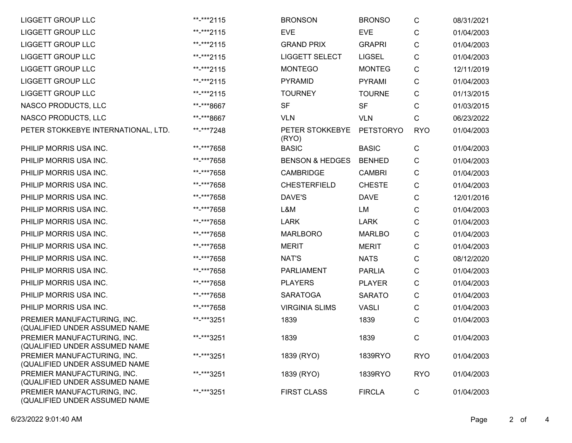| <b>LIGGETT GROUP LLC</b>                                     | **-***2115 | <b>BRONSON</b>             | <b>BRONSO</b>    | С            | 08/31/2021 |
|--------------------------------------------------------------|------------|----------------------------|------------------|--------------|------------|
| <b>LIGGETT GROUP LLC</b>                                     | **-***2115 | <b>EVE</b>                 | <b>EVE</b>       | С            | 01/04/2003 |
| <b>LIGGETT GROUP LLC</b>                                     | **-***2115 | <b>GRAND PRIX</b>          | <b>GRAPRI</b>    | C            | 01/04/2003 |
| <b>LIGGETT GROUP LLC</b>                                     | **-***2115 | <b>LIGGETT SELECT</b>      | <b>LIGSEL</b>    | С            | 01/04/2003 |
| <b>LIGGETT GROUP LLC</b>                                     | **-***2115 | <b>MONTEGO</b>             | <b>MONTEG</b>    | С            | 12/11/2019 |
| <b>LIGGETT GROUP LLC</b>                                     | **-***2115 | <b>PYRAMID</b>             | <b>PYRAMI</b>    | С            | 01/04/2003 |
| <b>LIGGETT GROUP LLC</b>                                     | **-***2115 | <b>TOURNEY</b>             | <b>TOURNE</b>    | С            | 01/13/2015 |
| NASCO PRODUCTS, LLC                                          | **-***8667 | <b>SF</b>                  | <b>SF</b>        | С            | 01/03/2015 |
| NASCO PRODUCTS, LLC                                          | **-***8667 | <b>VLN</b>                 | <b>VLN</b>       | С            | 06/23/2022 |
| PETER STOKKEBYE INTERNATIONAL, LTD.                          | **-***7248 | PETER STOKKEBYE<br>(RYO)   | <b>PETSTORYO</b> | <b>RYO</b>   | 01/04/2003 |
| PHILIP MORRIS USA INC.                                       | **-***7658 | <b>BASIC</b>               | <b>BASIC</b>     | $\mathbf C$  | 01/04/2003 |
| PHILIP MORRIS USA INC.                                       | **-***7658 | <b>BENSON &amp; HEDGES</b> | <b>BENHED</b>    | С            | 01/04/2003 |
| PHILIP MORRIS USA INC.                                       | **-***7658 | <b>CAMBRIDGE</b>           | <b>CAMBRI</b>    | $\mathsf{C}$ | 01/04/2003 |
| PHILIP MORRIS USA INC.                                       | **-***7658 | <b>CHESTERFIELD</b>        | <b>CHESTE</b>    | С            | 01/04/2003 |
| PHILIP MORRIS USA INC.                                       | **-***7658 | DAVE'S                     | <b>DAVE</b>      | С            | 12/01/2016 |
| PHILIP MORRIS USA INC.                                       | **-***7658 | L&M                        | LM               | С            | 01/04/2003 |
| PHILIP MORRIS USA INC.                                       | **-***7658 | <b>LARK</b>                | <b>LARK</b>      | С            | 01/04/2003 |
| PHILIP MORRIS USA INC.                                       | **-***7658 | <b>MARLBORO</b>            | <b>MARLBO</b>    | С            | 01/04/2003 |
| PHILIP MORRIS USA INC.                                       | **-***7658 | <b>MERIT</b>               | <b>MERIT</b>     | С            | 01/04/2003 |
| PHILIP MORRIS USA INC.                                       | **-***7658 | <b>NAT'S</b>               | <b>NATS</b>      | С            | 08/12/2020 |
| PHILIP MORRIS USA INC.                                       | **-***7658 | <b>PARLIAMENT</b>          | <b>PARLIA</b>    | С            | 01/04/2003 |
| PHILIP MORRIS USA INC.                                       | **-***7658 | <b>PLAYERS</b>             | <b>PLAYER</b>    | C            | 01/04/2003 |
| PHILIP MORRIS USA INC.                                       | **-***7658 | <b>SARATOGA</b>            | <b>SARATO</b>    | С            | 01/04/2003 |
| PHILIP MORRIS USA INC.                                       | **-***7658 | <b>VIRGINIA SLIMS</b>      | <b>VASLI</b>     | С            | 01/04/2003 |
| PREMIER MANUFACTURING, INC.<br>(QUALIFIED UNDER ASSUMED NAME | **-***3251 | 1839                       | 1839             | С            | 01/04/2003 |
| PREMIER MANUFACTURING, INC.<br>(QUALIFIED UNDER ASSUMED NAME | **-***3251 | 1839                       | 1839             | C.           | 01/04/2003 |
| PREMIER MANUFACTURING, INC.<br>(QUALIFIED UNDER ASSUMED NAME | **-***3251 | 1839 (RYO)                 | 1839RYO          | <b>RYO</b>   | 01/04/2003 |
| PREMIER MANUFACTURING, INC.<br>(QUALIFIED UNDER ASSUMED NAME | **-***3251 | 1839 (RYO)                 | 1839RYO          | <b>RYO</b>   | 01/04/2003 |
| PREMIER MANUFACTURING, INC.<br>(QUALIFIED UNDER ASSUMED NAME | **-***3251 | <b>FIRST CLASS</b>         | <b>FIRCLA</b>    | $\mathsf C$  | 01/04/2003 |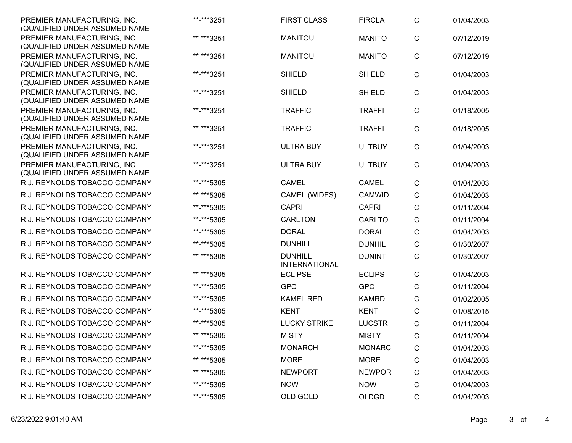| PREMIER MANUFACTURING, INC.<br>(QUALIFIED UNDER ASSUMED NAME | **-***3251 | <b>FIRST CLASS</b>                     | <b>FIRCLA</b> | $\mathsf{C}$ | 01/04/2003 |
|--------------------------------------------------------------|------------|----------------------------------------|---------------|--------------|------------|
| PREMIER MANUFACTURING, INC.<br>(QUALIFIED UNDER ASSUMED NAME | **-***3251 | <b>MANITOU</b>                         | <b>MANITO</b> | $\mathsf{C}$ | 07/12/2019 |
| PREMIER MANUFACTURING, INC.<br>(QUALIFIED UNDER ASSUMED NAME | **-***3251 | <b>MANITOU</b>                         | <b>MANITO</b> | $\mathsf{C}$ | 07/12/2019 |
| PREMIER MANUFACTURING, INC.<br>(QUALIFIED UNDER ASSUMED NAME | **-***3251 | <b>SHIELD</b>                          | <b>SHIELD</b> | $\mathsf{C}$ | 01/04/2003 |
| PREMIER MANUFACTURING, INC.<br>(QUALIFIED UNDER ASSUMED NAME | **-***3251 | <b>SHIELD</b>                          | <b>SHIELD</b> | C            | 01/04/2003 |
| PREMIER MANUFACTURING, INC.<br>(QUALIFIED UNDER ASSUMED NAME | **-***3251 | <b>TRAFFIC</b>                         | <b>TRAFFI</b> | $\mathsf{C}$ | 01/18/2005 |
| PREMIER MANUFACTURING, INC.<br>(QUALIFIED UNDER ASSUMED NAME | **-***3251 | <b>TRAFFIC</b>                         | <b>TRAFFI</b> | $\mathsf{C}$ | 01/18/2005 |
| PREMIER MANUFACTURING, INC.<br>(QUALIFIED UNDER ASSUMED NAME | **-***3251 | <b>ULTRA BUY</b>                       | <b>ULTBUY</b> | $\mathsf{C}$ | 01/04/2003 |
| PREMIER MANUFACTURING, INC.<br>(QUALIFIED UNDER ASSUMED NAME | **-***3251 | <b>ULTRA BUY</b>                       | <b>ULTBUY</b> | $\mathsf{C}$ | 01/04/2003 |
| R.J. REYNOLDS TOBACCO COMPANY                                | **-***5305 | <b>CAMEL</b>                           | <b>CAMEL</b>  | $\mathsf{C}$ | 01/04/2003 |
| R.J. REYNOLDS TOBACCO COMPANY                                | **-***5305 | CAMEL (WIDES)                          | <b>CAMWID</b> | С            | 01/04/2003 |
| R.J. REYNOLDS TOBACCO COMPANY                                | **-***5305 | <b>CAPRI</b>                           | <b>CAPRI</b>  | $\mathsf{C}$ | 01/11/2004 |
| R.J. REYNOLDS TOBACCO COMPANY                                | **-***5305 | <b>CARLTON</b>                         | <b>CARLTO</b> | C            | 01/11/2004 |
| R.J. REYNOLDS TOBACCO COMPANY                                | **-***5305 | <b>DORAL</b>                           | <b>DORAL</b>  | C            | 01/04/2003 |
| R.J. REYNOLDS TOBACCO COMPANY                                | **-***5305 | <b>DUNHILL</b>                         | <b>DUNHIL</b> | C            | 01/30/2007 |
| R.J. REYNOLDS TOBACCO COMPANY                                | **-***5305 | <b>DUNHILL</b><br><b>INTERNATIONAL</b> | <b>DUNINT</b> | C            | 01/30/2007 |
| R.J. REYNOLDS TOBACCO COMPANY                                | **-***5305 | <b>ECLIPSE</b>                         | <b>ECLIPS</b> | C            | 01/04/2003 |
| R.J. REYNOLDS TOBACCO COMPANY                                | **-***5305 | <b>GPC</b>                             | <b>GPC</b>    | C            | 01/11/2004 |
| R.J. REYNOLDS TOBACCO COMPANY                                | **-***5305 | <b>KAMEL RED</b>                       | <b>KAMRD</b>  | С            | 01/02/2005 |
| R.J. REYNOLDS TOBACCO COMPANY                                | **-***5305 | <b>KENT</b>                            | <b>KENT</b>   | $\mathsf{C}$ | 01/08/2015 |
| R.J. REYNOLDS TOBACCO COMPANY                                | **-***5305 | <b>LUCKY STRIKE</b>                    | <b>LUCSTR</b> | C            | 01/11/2004 |
| R.J. REYNOLDS TOBACCO COMPANY                                | **-***5305 | <b>MISTY</b>                           | <b>MISTY</b>  | C            | 01/11/2004 |
| R.J. REYNOLDS TOBACCO COMPANY                                | **-***5305 | <b>MONARCH</b>                         | <b>MONARC</b> | $\mathsf{C}$ | 01/04/2003 |
| R.J. REYNOLDS TOBACCO COMPANY                                | **-***5305 | <b>MORE</b>                            | <b>MORE</b>   | C            | 01/04/2003 |
| R.J. REYNOLDS TOBACCO COMPANY                                | **-***5305 | <b>NEWPORT</b>                         | <b>NEWPOR</b> | С            | 01/04/2003 |
| R.J. REYNOLDS TOBACCO COMPANY                                | **-***5305 | <b>NOW</b>                             | <b>NOW</b>    | C            | 01/04/2003 |
| R.J. REYNOLDS TOBACCO COMPANY                                | **-***5305 | OLD GOLD                               | <b>OLDGD</b>  | C            | 01/04/2003 |
|                                                              |            |                                        |               |              |            |